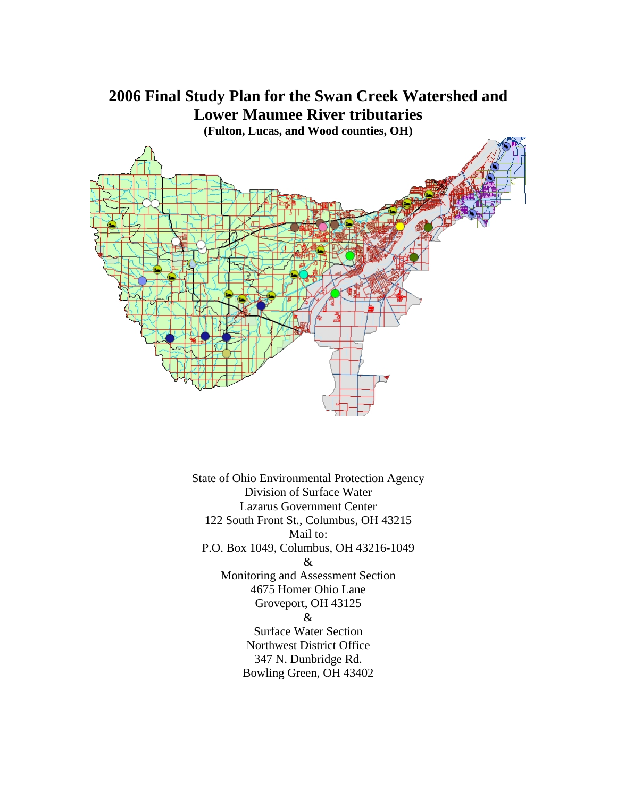

State of Ohio Environmental Protection Agency Division of Surface Water Lazarus Government Center 122 South Front St., Columbus, OH 43215 Mail to: P.O. Box 1049, Columbus, OH 43216-1049 & Monitoring and Assessment Section 4675 Homer Ohio Lane Groveport, OH 43125 & Surface Water Section Northwest District Office 347 N. Dunbridge Rd. Bowling Green, OH 43402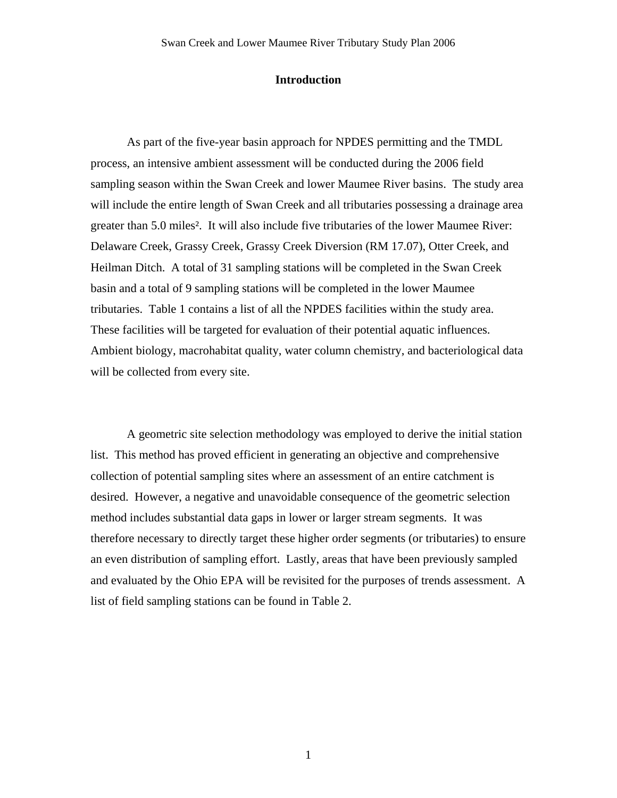### **Introduction**

As part of the five-year basin approach for NPDES permitting and the TMDL process, an intensive ambient assessment will be conducted during the 2006 field sampling season within the Swan Creek and lower Maumee River basins. The study area will include the entire length of Swan Creek and all tributaries possessing a drainage area greater than 5.0 miles². It will also include five tributaries of the lower Maumee River: Delaware Creek, Grassy Creek, Grassy Creek Diversion (RM 17.07), Otter Creek, and Heilman Ditch. A total of 31 sampling stations will be completed in the Swan Creek basin and a total of 9 sampling stations will be completed in the lower Maumee tributaries. Table 1 contains a list of all the NPDES facilities within the study area. These facilities will be targeted for evaluation of their potential aquatic influences. Ambient biology, macrohabitat quality, water column chemistry, and bacteriological data will be collected from every site.

A geometric site selection methodology was employed to derive the initial station list. This method has proved efficient in generating an objective and comprehensive collection of potential sampling sites where an assessment of an entire catchment is desired. However, a negative and unavoidable consequence of the geometric selection method includes substantial data gaps in lower or larger stream segments. It was therefore necessary to directly target these higher order segments (or tributaries) to ensure an even distribution of sampling effort. Lastly, areas that have been previously sampled and evaluated by the Ohio EPA will be revisited for the purposes of trends assessment. A list of field sampling stations can be found in Table 2.

1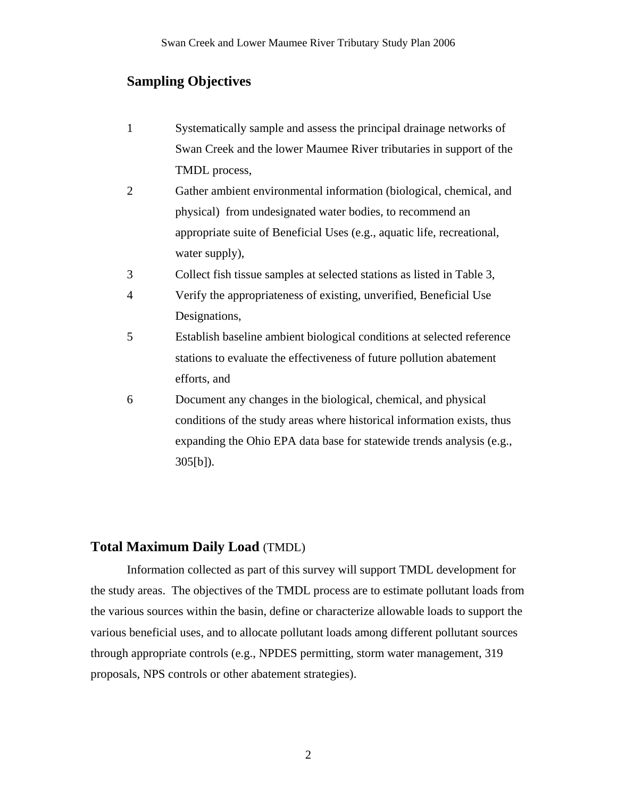## **Sampling Objectives**

- 1 Systematically sample and assess the principal drainage networks of Swan Creek and the lower Maumee River tributaries in support of the TMDL process,
- 2 Gather ambient environmental information (biological, chemical, and physical) from undesignated water bodies, to recommend an appropriate suite of Beneficial Uses (e.g., aquatic life, recreational, water supply),
- 3 Collect fish tissue samples at selected stations as listed in Table 3,
- 4 Verify the appropriateness of existing, unverified, Beneficial Use Designations,
- 5 Establish baseline ambient biological conditions at selected reference stations to evaluate the effectiveness of future pollution abatement efforts, and
- 6 Document any changes in the biological, chemical, and physical conditions of the study areas where historical information exists, thus expanding the Ohio EPA data base for statewide trends analysis (e.g., 305[b]).

### **Total Maximum Daily Load** (TMDL)

 Information collected as part of this survey will support TMDL development for the study areas. The objectives of the TMDL process are to estimate pollutant loads from the various sources within the basin, define or characterize allowable loads to support the various beneficial uses, and to allocate pollutant loads among different pollutant sources through appropriate controls (e.g., NPDES permitting, storm water management, 319 proposals, NPS controls or other abatement strategies).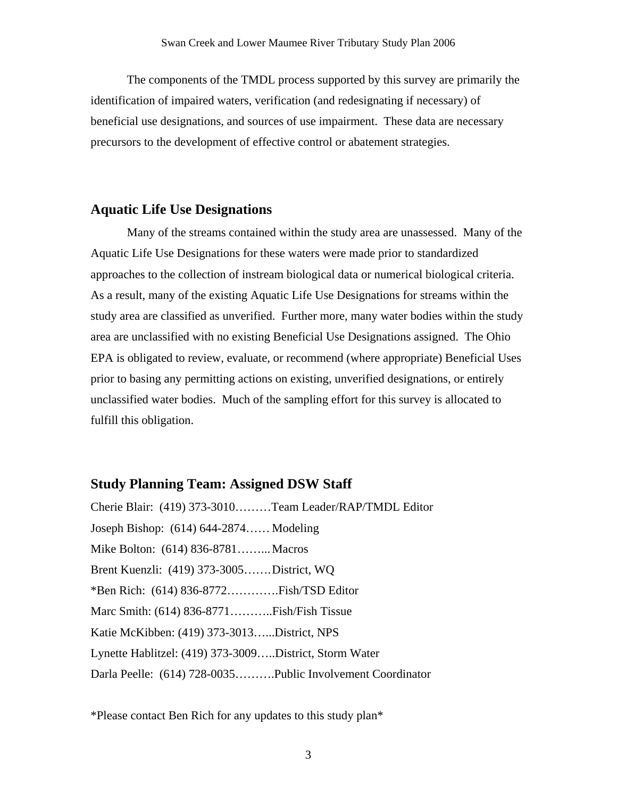The components of the TMDL process supported by this survey are primarily the identification of impaired waters, verification (and redesignating if necessary) of beneficial use designations, and sources of use impairment. These data are necessary precursors to the development of effective control or abatement strategies.

### **Aquatic Life Use Designations**

 Many of the streams contained within the study area are unassessed. Many of the Aquatic Life Use Designations for these waters were made prior to standardized approaches to the collection of instream biological data or numerical biological criteria. As a result, many of the existing Aquatic Life Use Designations for streams within the study area are classified as unverified. Further more, many water bodies within the study area are unclassified with no existing Beneficial Use Designations assigned. The Ohio EPA is obligated to review, evaluate, or recommend (where appropriate) Beneficial Uses prior to basing any permitting actions on existing, unverified designations, or entirely unclassified water bodies. Much of the sampling effort for this survey is allocated to fulfill this obligation.

### **Study Planning Team: Assigned DSW Staff**

Cherie Blair: (419) 373-3010………Team Leader/RAP/TMDL Editor Joseph Bishop: (614) 644-2874…… Modeling Mike Bolton: (614) 836-8781……... Macros Brent Kuenzli: (419) 373-3005……. District, WQ \*Ben Rich: (614) 836-8772………….Fish/TSD Editor Marc Smith: (614) 836-8771………..Fish/Fish Tissue Katie McKibben: (419) 373-3013…...District, NPS Lynette Hablitzel: (419) 373-3009…..District, Storm Water Darla Peelle: (614) 728-0035……….Public Involvement Coordinator

\*Please contact Ben Rich for any updates to this study plan\*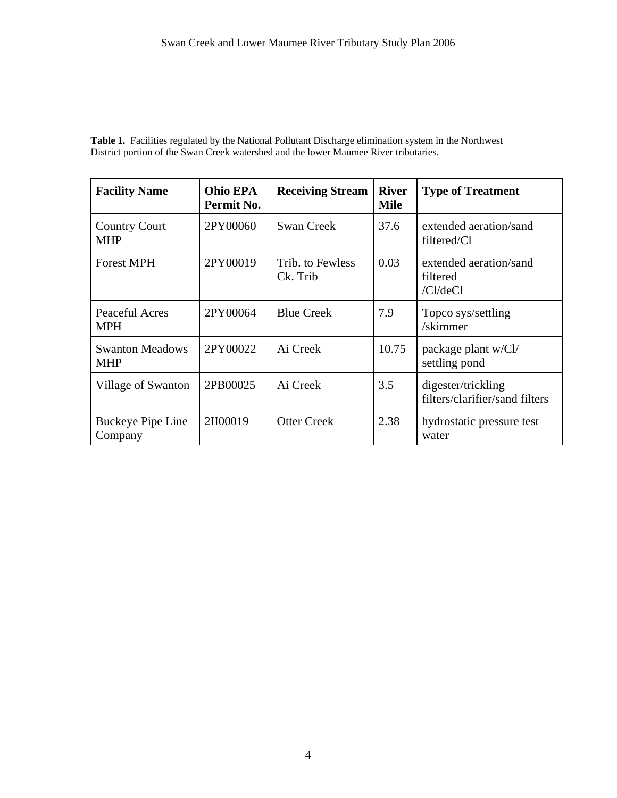**Table 1.** Facilities regulated by the National Pollutant Discharge elimination system in the Northwest District portion of the Swan Creek watershed and the lower Maumee River tributaries.

| <b>Facility Name</b>                 | Ohio EPA<br>Permit No. | <b>Receiving Stream</b>      | <b>River</b><br><b>Mile</b> | <b>Type of Treatment</b>                             |
|--------------------------------------|------------------------|------------------------------|-----------------------------|------------------------------------------------------|
| <b>Country Court</b><br><b>MHP</b>   | 2PY00060               | <b>Swan Creek</b>            | 37.6                        | extended aeration/sand<br>filtered/Cl                |
| <b>Forest MPH</b>                    | 2PY00019               | Trib. to Fewless<br>Ck. Trib | 0.03                        | extended aeration/sand<br>filtered<br>$/Cl$ /de $Cl$ |
| Peaceful Acres<br><b>MPH</b>         | 2PY00064               | <b>Blue Creek</b>            | 7.9                         | Topco sys/settling<br>/skimmer                       |
| <b>Swanton Meadows</b><br><b>MHP</b> | 2PY00022               | Ai Creek                     | 10.75                       | package plant w/Cl/<br>settling pond                 |
| Village of Swanton                   | 2PB00025               | Ai Creek                     | 3.5                         | digester/trickling<br>filters/clarifier/sand filters |
| Buckeye Pipe Line<br>Company         | 2II00019               | <b>Otter Creek</b>           | 2.38                        | hydrostatic pressure test<br>water                   |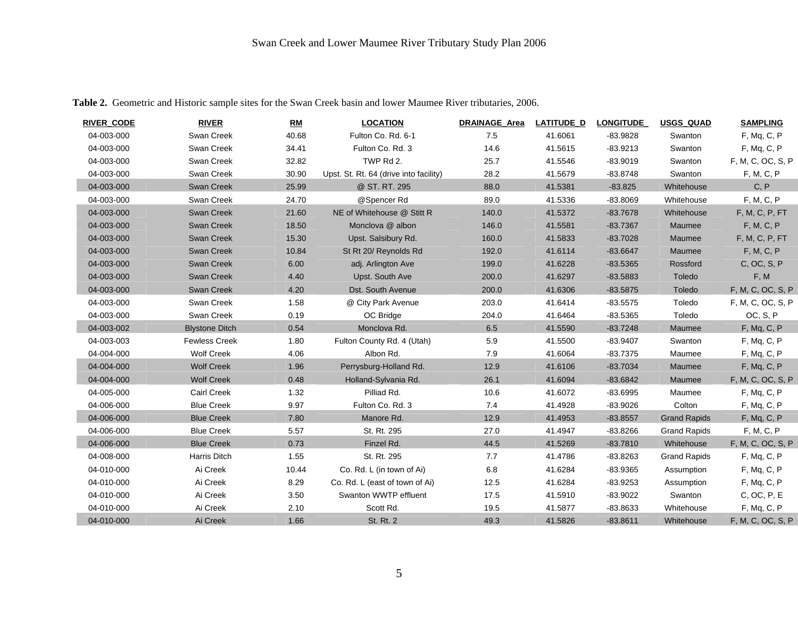| <b>RIVER CODE</b> | <b>RIVER</b>          | RM    | <b>LOCATION</b>                        | <b>DRAINAGE Area</b> | <b>LATITUDE D</b> | <b>LONGITUDE</b> | <b>USGS QUAD</b>    | <b>SAMPLING</b>   |
|-------------------|-----------------------|-------|----------------------------------------|----------------------|-------------------|------------------|---------------------|-------------------|
| 04-003-000        | Swan Creek            | 40.68 | Fulton Co. Rd. 6-1                     | 7.5                  | 41.6061           | $-83.9828$       | Swanton             | F, Mq, C, P       |
| 04-003-000        | Swan Creek            | 34.41 | Fulton Co. Rd. 3                       | 14.6                 | 41.5615           | $-83.9213$       | Swanton             | F, Mq, C, P       |
| 04-003-000        | Swan Creek            | 32.82 | TWP Rd 2.                              | 25.7                 | 41.5546           | $-83.9019$       | Swanton             | F, M, C, OC, S, P |
| 04-003-000        | Swan Creek            | 30.90 | Upst. St. Rt. 64 (drive into facility) | 28.2                 | 41.5679           | $-83.8748$       | Swanton             | F, M, C, P        |
| 04-003-000        | Swan Creek            | 25.99 | @ ST. RT. 295                          | 88.0                 | 41.5381           | $-83.825$        | Whitehouse          | C, P              |
| 04-003-000        | Swan Creek            | 24.70 | @Spencer Rd                            | 89.0                 | 41.5336           | $-83.8069$       | Whitehouse          | F, M, C, P        |
| 04-003-000        | <b>Swan Creek</b>     | 21.60 | NE of Whitehouse @ Stitt R             | 140.0                | 41.5372           | $-83.7678$       | Whitehouse          | F, M, C, P, FT    |
| 04-003-000        | <b>Swan Creek</b>     | 18.50 | Monclova @ albon                       | 146.0                | 41.5581           | $-83.7367$       | Maumee              | F, M, C, P        |
| 04-003-000        | <b>Swan Creek</b>     | 15.30 | Upst. Salsibury Rd.                    | 160.0                | 41.5833           | $-83.7028$       | Maumee              | F, M, C, P, FT    |
| 04-003-000        | <b>Swan Creek</b>     | 10.84 | St Rt 20/ Reynolds Rd                  | 192.0                | 41.6114           | $-83.6647$       | Maumee              | F, M, C, P        |
| 04-003-000        | <b>Swan Creek</b>     | 6.00  | adj. Arlington Ave                     | 199.0                | 41.6228           | $-83.5365$       | Rossford            | C, OC, S, P       |
| 04-003-000        | <b>Swan Creek</b>     | 4.40  | Upst. South Ave                        | 200.0                | 41.6297           | $-83.5883$       | Toledo              | F, M              |
| 04-003-000        | <b>Swan Creek</b>     | 4.20  | Dst. South Avenue                      | 200.0                | 41.6306           | $-83.5875$       | Toledo              | F, M, C, OC, S, P |
| 04-003-000        | Swan Creek            | 1.58  | @ City Park Avenue                     | 203.0                | 41.6414           | $-83.5575$       | Toledo              | F, M, C, OC, S, P |
| 04-003-000        | Swan Creek            | 0.19  | OC Bridge                              | 204.0                | 41.6464           | $-83.5365$       | Toledo              | OC, S, P          |
| 04-003-002        | <b>Blystone Ditch</b> | 0.54  | Monclova Rd.                           | 6.5                  | 41.5590           | $-83.7248$       | Maumee              | F, Mq, C, P       |
| 04-003-003        | <b>Fewless Creek</b>  | 1.80  | Fulton County Rd. 4 (Utah)             | 5.9                  | 41.5500           | $-83.9407$       | Swanton             | F, Mq, C, P       |
| 04-004-000        | <b>Wolf Creek</b>     | 4.06  | Albon Rd.                              | 7.9                  | 41.6064           | $-83.7375$       | Maumee              | F, Mq, C, P       |
| 04-004-000        | <b>Wolf Creek</b>     | 1.96  | Perrysburg-Holland Rd.                 | 12.9                 | 41.6106           | $-83.7034$       | Maumee              | F, Mq, C, P       |
| 04-004-000        | <b>Wolf Creek</b>     | 0.48  | Holland-Sylvania Rd.                   | 26.1                 | 41.6094           | $-83.6842$       | Maumee              | F, M, C, OC, S, P |
| 04-005-000        | <b>Cairl Creek</b>    | 1.32  | Pilliad Rd.                            | 10.6                 | 41.6072           | $-83.6995$       | Maumee              | F, Mq, C, P       |
| 04-006-000        | <b>Blue Creek</b>     | 9.97  | Fulton Co. Rd. 3                       | 7.4                  | 41.4928           | $-83.9026$       | Colton              | F, Mq, C, P       |
| 04-006-000        | <b>Blue Creek</b>     | 7.80  | Manore Rd.                             | 12.9                 | 41.4953           | $-83.8557$       | <b>Grand Rapids</b> | F, Mq, C, P       |
| 04-006-000        | <b>Blue Creek</b>     | 5.57  | St. Rt. 295                            | 27.0                 | 41.4947           | $-83.8266$       | <b>Grand Rapids</b> | F, M, C, P        |
| 04-006-000        | <b>Blue Creek</b>     | 0.73  | Finzel Rd.                             | 44.5                 | 41.5269           | $-83.7810$       | Whitehouse          | F, M, C, OC, S, P |
| 04-008-000        | Harris Ditch          | 1.55  | St. Rt. 295                            | 7.7                  | 41.4786           | $-83.8263$       | <b>Grand Rapids</b> | F, Mq, C, P       |
| 04-010-000        | Ai Creek              | 10.44 | Co. Rd. L (in town of Ai)              | 6.8                  | 41.6284           | $-83.9365$       | Assumption          | F, Mq, C, P       |
| 04-010-000        | Ai Creek              | 8.29  | Co. Rd. L (east of town of Ai)         | 12.5                 | 41.6284           | $-83.9253$       | Assumption          | F, Mq, C, P       |
| 04-010-000        | Ai Creek              | 3.50  | Swanton WWTP effluent                  | 17.5                 | 41.5910           | $-83.9022$       | Swanton             | C, OC, P, E       |
| 04-010-000        | Ai Creek              | 2.10  | Scott Rd.                              | 19.5                 | 41.5877           | $-83.8633$       | Whitehouse          | F, Mq, C, P       |
| 04-010-000        | Ai Creek              | 1.66  | St. Rt. 2                              | 49.3                 | 41.5826           | $-83.8611$       | Whitehouse          | F, M, C, OC, S, P |

**Table 2.** Geometric and Historic sample sites for the Swan Creek basin and lower Maumee River tributaries, 2006.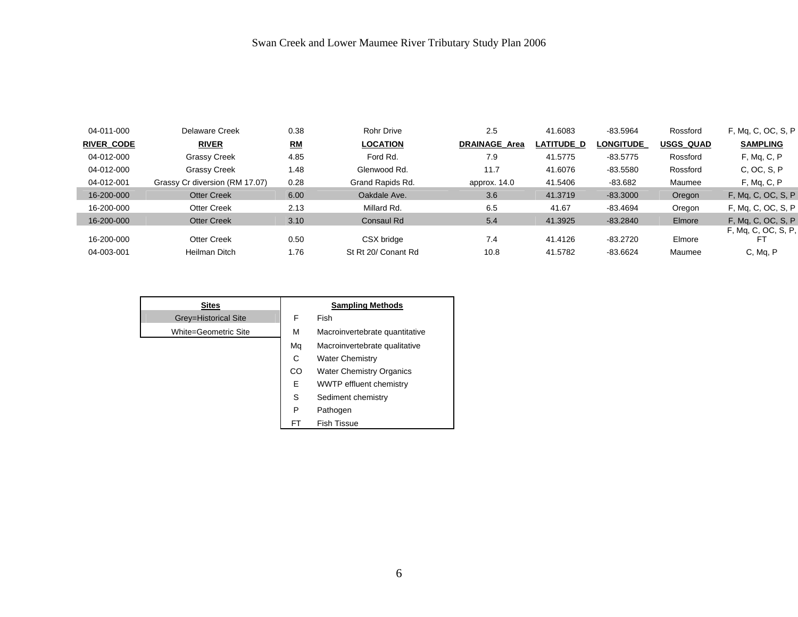| 04-011-000        | Delaware Creek                 | 0.38 | <b>Rohr Drive</b>   | 2.5                  | 41.6083    | $-83.5964$       | Rossford         | F, Mg, C, OC, S, P  |
|-------------------|--------------------------------|------|---------------------|----------------------|------------|------------------|------------------|---------------------|
| <b>RIVER CODE</b> | <b>RIVER</b>                   | RM   | <b>LOCATION</b>     | <b>DRAINAGE Area</b> | LATITUDE D | <b>LONGITUDE</b> | <b>USGS QUAD</b> | <b>SAMPLING</b>     |
| 04-012-000        | <b>Grassy Creek</b>            | 4.85 | Ford Rd.            | 7.9                  | 41.5775    | $-83.5775$       | Rossford         | F, Mq, C, P         |
| 04-012-000        | <b>Grassy Creek</b>            | 1.48 | Glenwood Rd.        | 11.7                 | 41.6076    | $-83.5580$       | Rossford         | C, OC, S, P         |
| 04-012-001        | Grassy Cr diversion (RM 17.07) | 0.28 | Grand Rapids Rd.    | approx. 14.0         | 41.5406    | $-83.682$        | Maumee           | F, Mq, C, P         |
| 16-200-000        | <b>Otter Creek</b>             | 6.00 | Oakdale Ave.        | 3.6                  | 41.3719    | $-83.3000$       | Oregon           | F, Mg, C, OC, S, P  |
| 16-200-000        | <b>Otter Creek</b>             | 2.13 | Millard Rd.         | 6.5                  | 41.67      | $-83.4694$       | Oregon           | F, Mg, C, OC, S, P  |
| 16-200-000        | <b>Otter Creek</b>             | 3.10 | Consaul Rd          | 5.4                  | 41.3925    | $-83.2840$       | Elmore           | F, Mg, C, OC, S, P  |
| 16-200-000        | Otter Creek                    | 0.50 | CSX bridge          | 7.4                  | 41.4126    | $-83.2720$       | Elmore           | F, Mq, C, OC, S, P, |
| 04-003-001        | Heilman Ditch                  | 1.76 | St Rt 20/ Conant Rd | 10.8                 | 41.5782    | $-83.6624$       | Maumee           | C, Mg, P            |

| <b>Sites</b>         |    | <b>Sampling Methods</b>         |
|----------------------|----|---------------------------------|
| Grey=Historical Site | F  | <b>Fish</b>                     |
| White=Geometric Site | M  | Macroinvertebrate quantitative  |
|                      | Mq | Macroinvertebrate qualitative   |
|                      | C  | <b>Water Chemistry</b>          |
|                      | CO | <b>Water Chemistry Organics</b> |
|                      | Е  | <b>WWTP</b> effluent chemistry  |
|                      | S  | Sediment chemistry              |
|                      | P  | Pathogen                        |
|                      | FT | <b>Fish Tissue</b>              |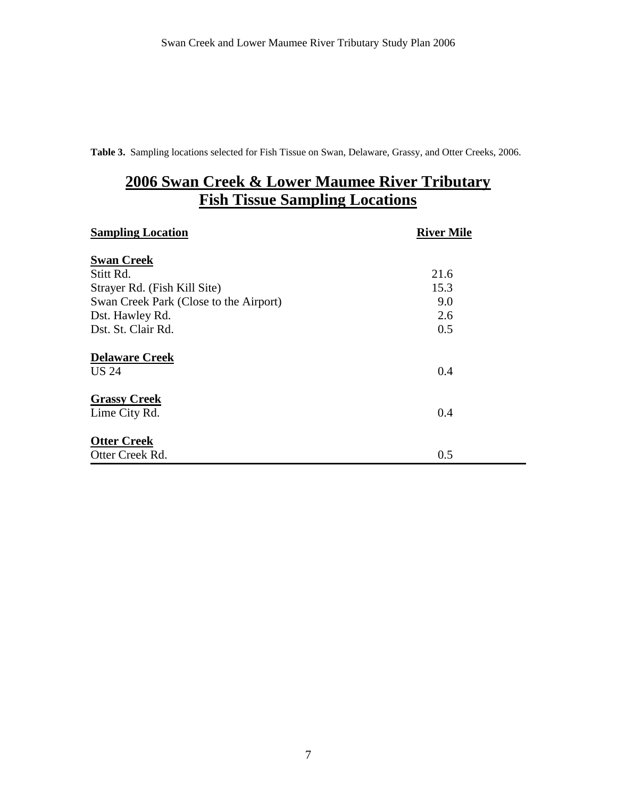**Table 3.** Sampling locations selected for Fish Tissue on Swan, Delaware, Grassy, and Otter Creeks, 2006.

# **2006 Swan Creek & Lower Maumee River Tributary Fish Tissue Sampling Locations**

| <b>Sampling Location</b>               | <b>River Mile</b> |
|----------------------------------------|-------------------|
| <b>Swan Creek</b>                      |                   |
| Stitt Rd.                              | 21.6              |
| Strayer Rd. (Fish Kill Site)           | 15.3              |
| Swan Creek Park (Close to the Airport) | 9.0               |
| Dst. Hawley Rd.                        | 2.6               |
| Dst. St. Clair Rd.                     | 0.5               |
| <b>Delaware Creek</b>                  |                   |
| <b>US 24</b>                           | 0.4               |
| <b>Grassy Creek</b>                    |                   |
| Lime City Rd.                          | 0.4               |
| <b>Otter Creek</b>                     |                   |
| Otter Creek Rd.                        | 0.5               |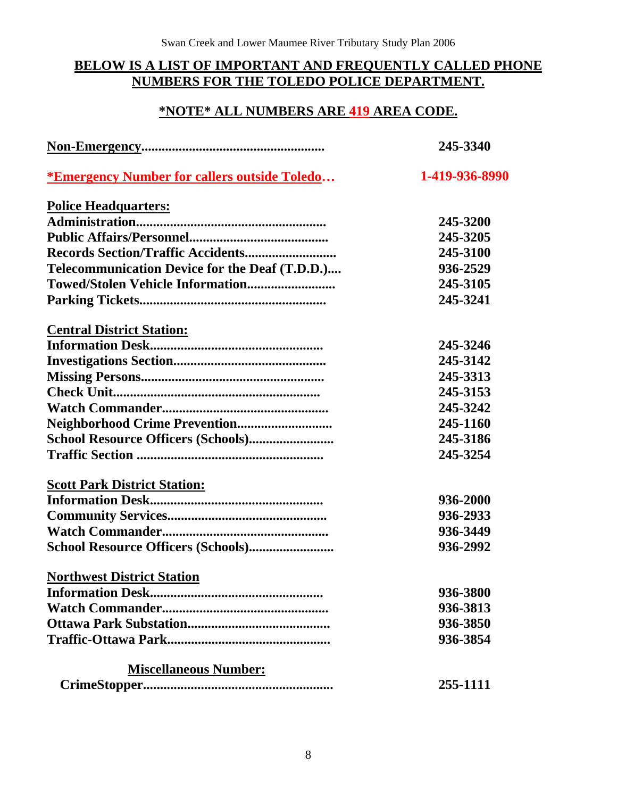# **BELOW IS A LIST OF IMPORTANT AND FREQUENTLY CALLED PHONE NUMBERS FOR THE TOLEDO POLICE DEPARTMENT.**

### **\*NOTE\* ALL NUMBERS ARE 419 AREA CODE.**

|                                                            | 245-3340       |  |  |
|------------------------------------------------------------|----------------|--|--|
| <i><b>*Emergency Number for callers outside Toledo</b></i> | 1-419-936-8990 |  |  |
| <b>Police Headquarters:</b>                                |                |  |  |
|                                                            | 245-3200       |  |  |
|                                                            | 245-3205       |  |  |
|                                                            | 245-3100       |  |  |
| Telecommunication Device for the Deaf (T.D.D.)             | 936-2529       |  |  |
|                                                            | 245-3105       |  |  |
|                                                            | 245-3241       |  |  |
| <b>Central District Station:</b>                           |                |  |  |
|                                                            | 245-3246       |  |  |
|                                                            | 245-3142       |  |  |
|                                                            | 245-3313       |  |  |
|                                                            | 245-3153       |  |  |
|                                                            | 245-3242       |  |  |
|                                                            | 245-1160       |  |  |
|                                                            | 245-3186       |  |  |
|                                                            | 245-3254       |  |  |
| <b>Scott Park District Station:</b>                        |                |  |  |
|                                                            | 936-2000       |  |  |
|                                                            | 936-2933       |  |  |
|                                                            | 936-3449       |  |  |
|                                                            | 936-2992       |  |  |
| <b>Northwest District Station</b>                          |                |  |  |
|                                                            | 936-3800       |  |  |
|                                                            | 936-3813       |  |  |
|                                                            | 936-3850       |  |  |
|                                                            | 936-3854       |  |  |
| <b>Miscellaneous Number:</b>                               |                |  |  |
|                                                            | 255-1111       |  |  |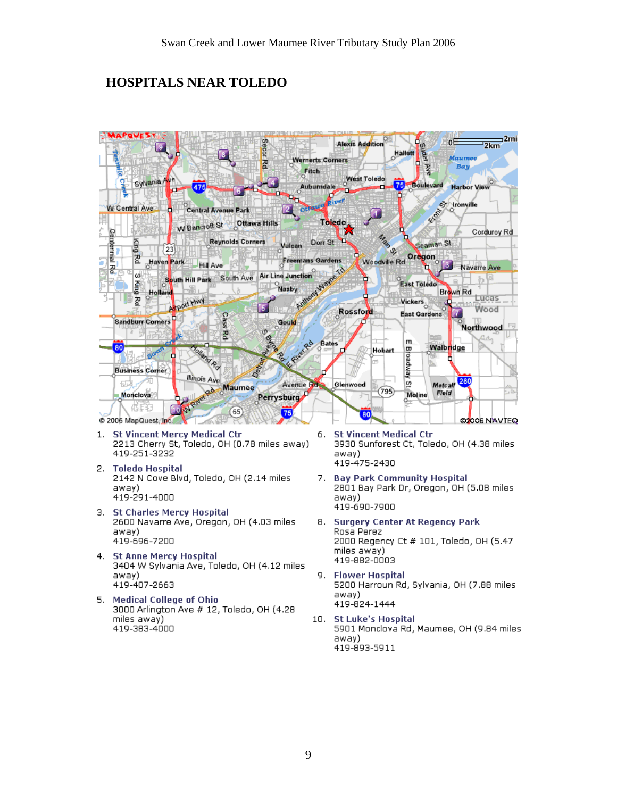# **HOSPITALS NEAR TOLEDO**



- 3. St Charles Mercy Hospital 2600 Navarre Ave, Oregon, OH (4.03 miles away) 419-696-7200
- 4. St Anne Mercy Hospital 3404 W Sylvania Ave, Toledo, OH (4.12 miles away) 419-407-2663
- 5. Medical College of Ohio 3000 Arlington Ave # 12, Toledo, OH (4.28 miles away) 419-383-4000
- away) 419-690-7900
- **Surgery Center At Regency Park** 8. Rosa Perez 2000 Regency Ct # 101, Toledo, OH (5.47 miles away) 419-882-0003
- 9. **Flower Hospital** 5200 Harroun Rd, Sylvania, OH (7.88 miles away) 419-824-1444
- 10. St Luke's Hospital 5901 Monclova Rd, Maumee, OH (9.84 miles away) 419-893-5911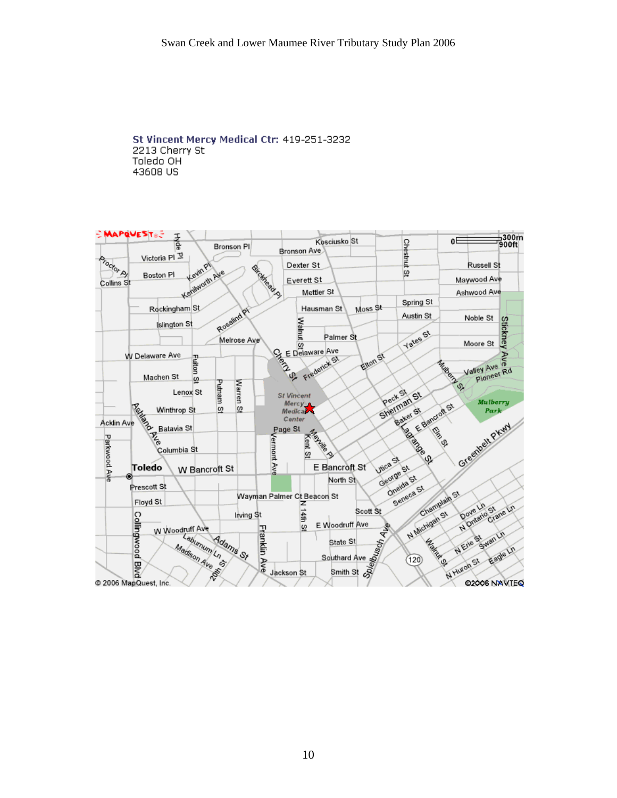#### St Vincent Mercy Medical Ctr: 419-251-3232 2213 Cherry St Toledo OH 43608 US

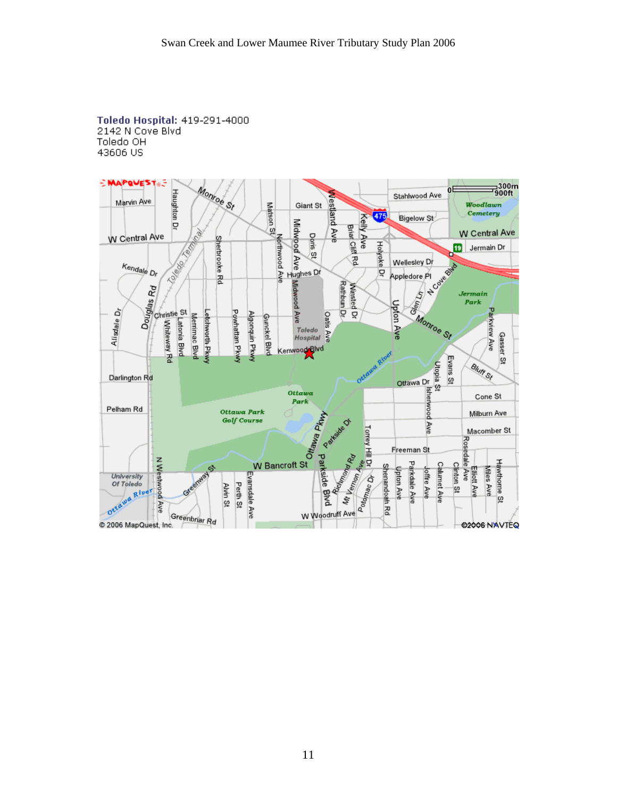Toledo Hospital: 419-291-4000 2142 N Cove Blvd Toledo OH 43606 US

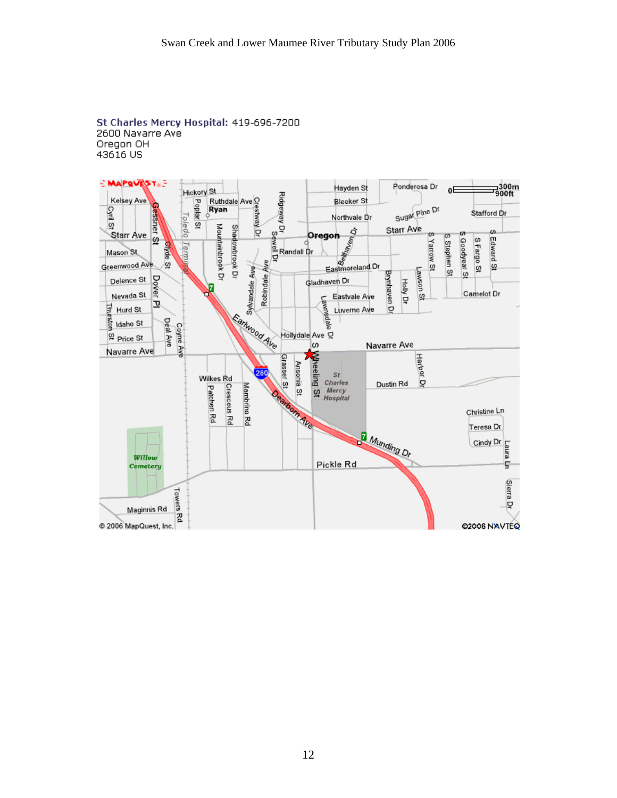#### St Charles Mercy Hospital: 419-696-7200 2600 Navarre Ave Oregon OH 43616 US

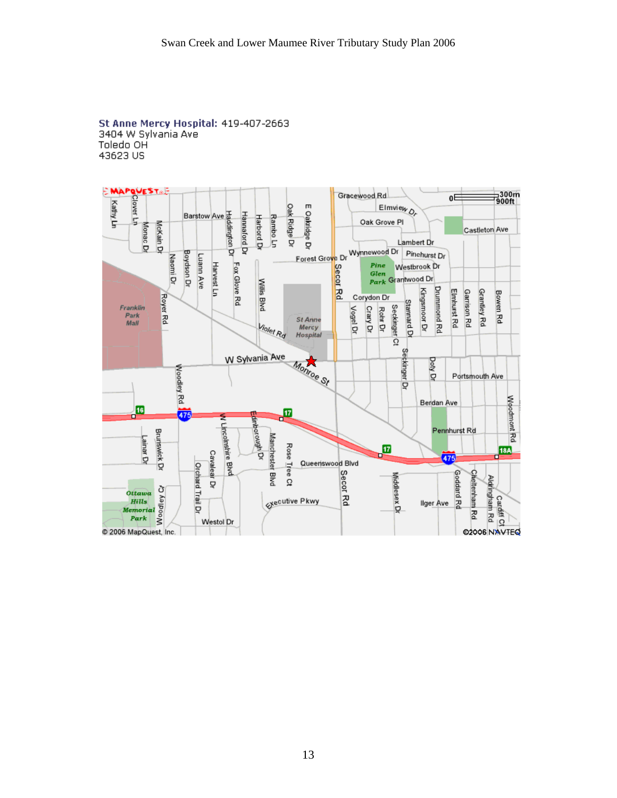#### St Anne Mercy Hospital: 419-407-2663 3404 W Sylvania Ave Toledo OH 43623 US

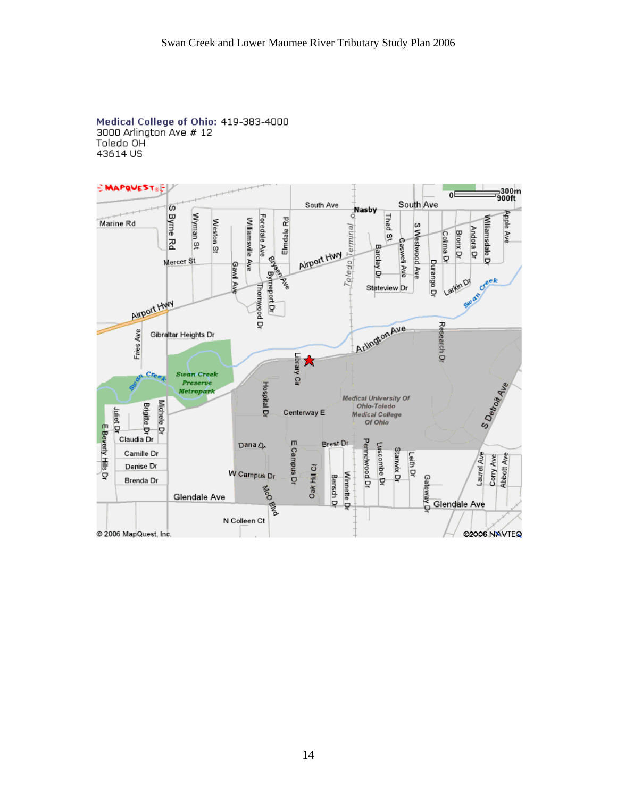#### Medical College of Ohio: 419-383-4000 3000 Arlington Ave # 12 Toledo OH 43614 US

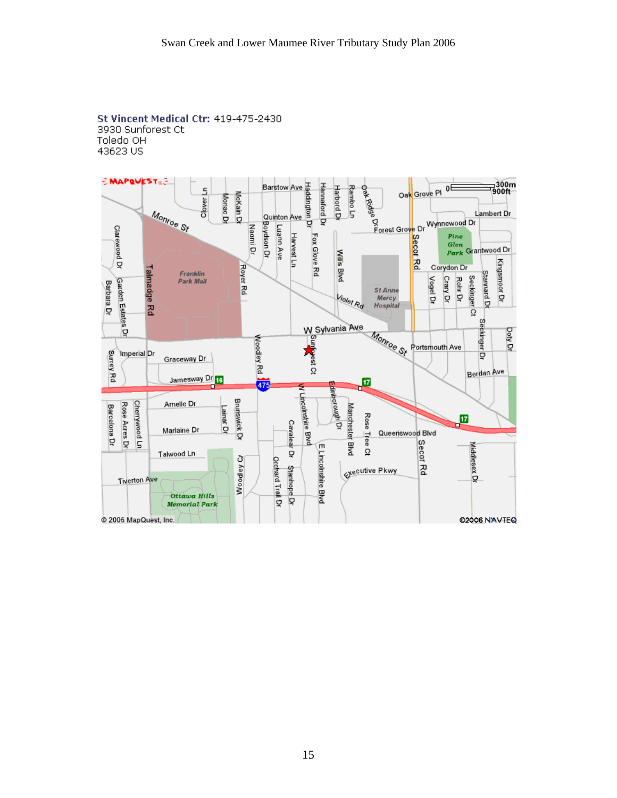

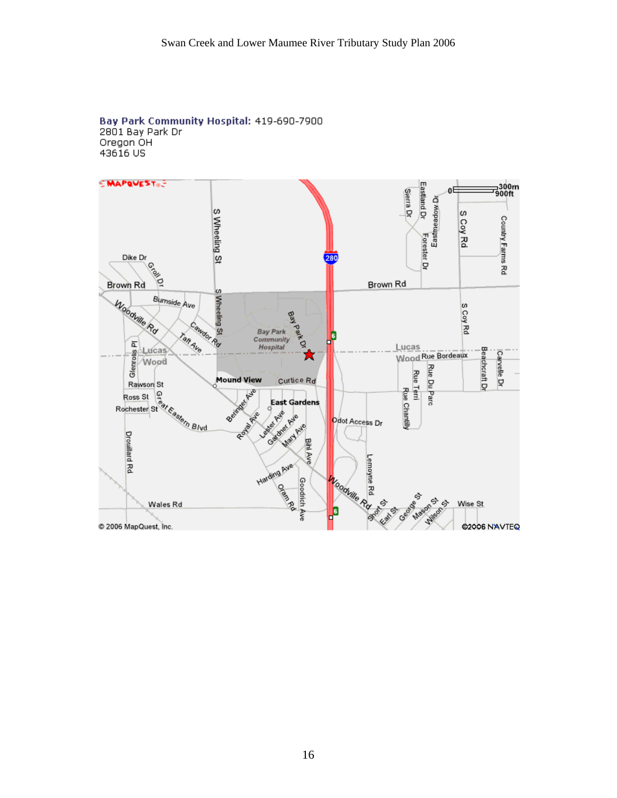#### Bay Park Community Hospital: 419-690-7900 2801 Bay Park Dr Oregon OH 43616 US

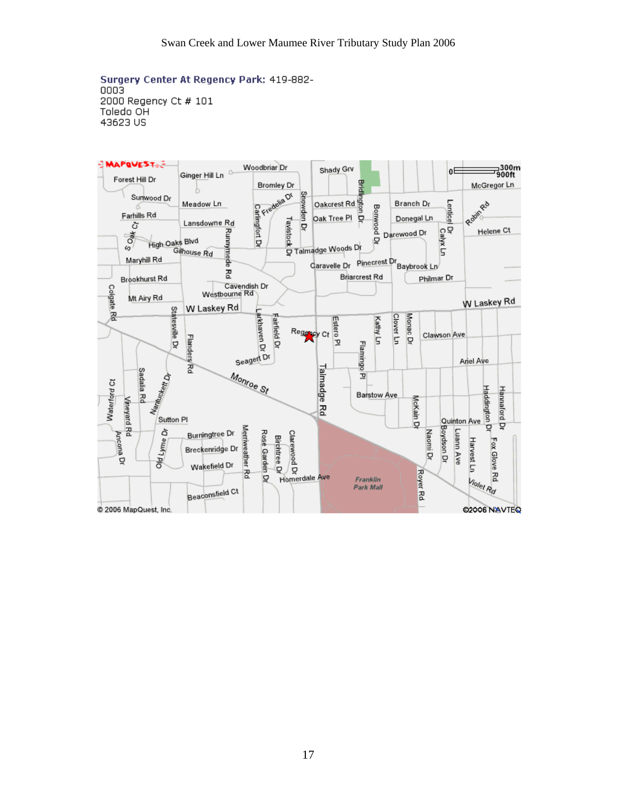Surgery Center At Regency Park: 419-882-0003 2000 Regency Ct # 101 Toledo OH 43623 US

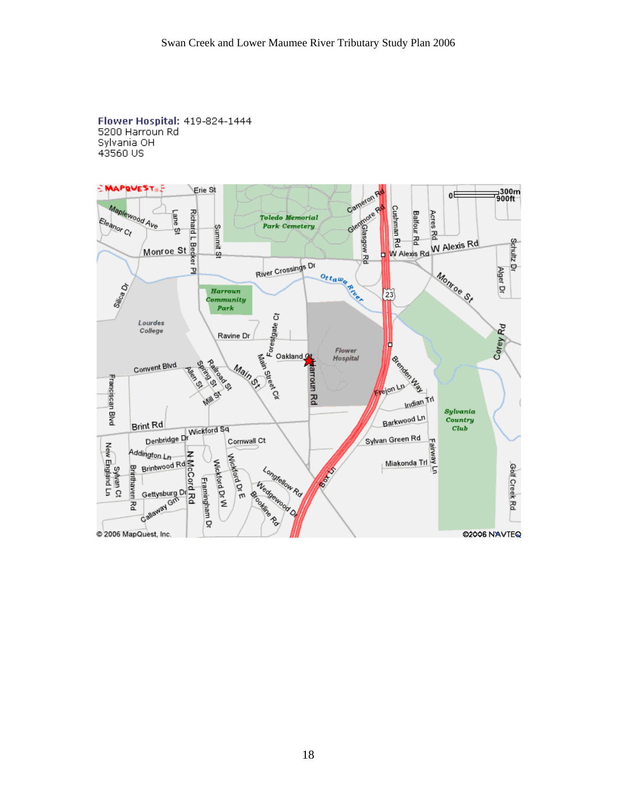Flower Hospital: 419-824-1444 5200 Harroun Rd Sylvania OH 43560 US